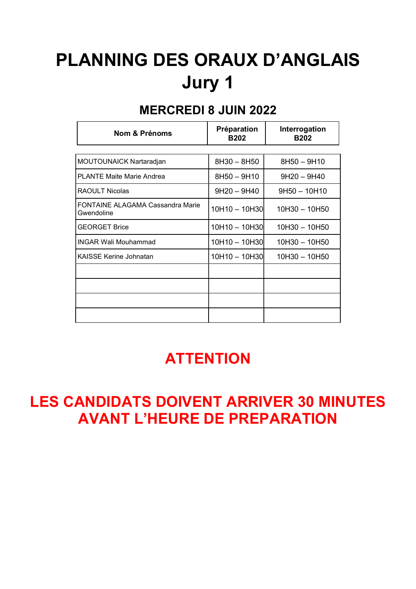# PLANNING DES ORAUX D'ANGLAIS Jury 1

#### MERCREDI 8 JUIN 2022

| <b>Nom &amp; Prénoms</b>                              | Préparation<br><b>B202</b> | Interrogation<br><b>B202</b> |
|-------------------------------------------------------|----------------------------|------------------------------|
|                                                       |                            |                              |
| MOUTOUNAICK Nartaradjan                               | 8H30 - 8H50                | 8H50 - 9H10                  |
| <b>PLANTE Maite Marie Andrea</b>                      | 8H50 - 9H10                | $9H20 - 9H40$                |
| <b>RAOULT Nicolas</b>                                 | $9H20 - 9H40$              | $9H50 - 10H10$               |
| <b>FONTAINE ALAGAMA Cassandra Marie</b><br>Gwendoline | 10H10 - 10H30              | $10H30 - 10H50$              |
| <b>GEORGET Brice</b>                                  | 10H10 - 10H30              | 10H30 - 10H50                |
| IINGAR Wali Mouhammad                                 | 10H10 - 10H30              | 10H30 - 10H50                |
| <b>KAISSE Kerine Johnatan</b>                         | 10H10 - 10H30              | 10H30 - 10H50                |
|                                                       |                            |                              |
|                                                       |                            |                              |
|                                                       |                            |                              |
|                                                       |                            |                              |

#### **ATTENTION**

## LES CANDIDATS DOIVENT ARRIVER 30 MINUTES AVANT L'HEURE DE PREPARATION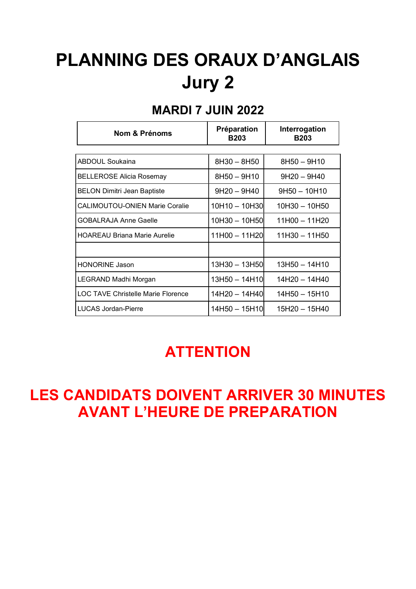# PLANNING DES ORAUX D'ANGLAIS Jury 2

#### MARDI 7 JUIN 2022

| <b>Nom &amp; Prénoms</b>              | Préparation<br><b>B203</b> | Interrogation<br><b>B203</b> |
|---------------------------------------|----------------------------|------------------------------|
|                                       |                            |                              |
| ABDOUL Soukaina                       | 8H30 - 8H50                | 8H50 - 9H10                  |
| <b>BELLEROSE Alicia Rosemay</b>       | 8H50 - 9H10                | $9H20 - 9H40$                |
| <b>BELON Dimitri Jean Baptiste</b>    | $9H20 - 9H40$              | $9H50 - 10H10$               |
| <b>CALIMOUTOU-ONIEN Marie Coralie</b> | 10H10 - 10H30              | 10H30 - 10H50                |
| <b>GOBALRAJA Anne Gaelle</b>          | 10H30 - 10H50l             | $11H00 - 11H20$              |
| <b>HOAREAU Briana Marie Aurelie</b>   | 11H00 - 11H20              | $11H30 - 11H50$              |
|                                       |                            |                              |
| <b>HONORINE Jason</b>                 | 13H30 - 13H50              | 13H50 - 14H10                |
| LEGRAND Madhi Morgan                  | 13H50 - 14H10              | 14H20 - 14H40                |
| LOC TAVE Christelle Marie Florence    | 14H20 - 14H40l             | $14H50 - 15H10$              |
| LUCAS Jordan-Pierre                   | 14H50 - 15H10              | 15H20 - 15H40                |

## **ATTENTION**

### LES CANDIDATS DOIVENT ARRIVER 30 MINUTES AVANT L'HEURE DE PREPARATION